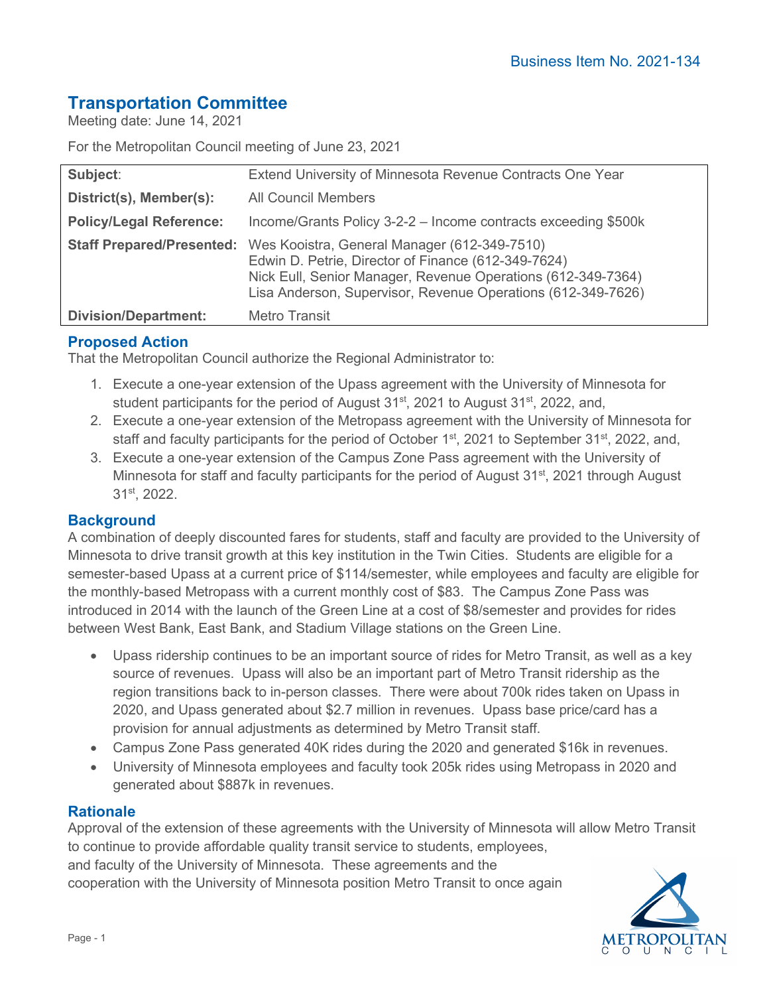# **Transportation Committee**

Meeting date: June 14, 2021

For the Metropolitan Council meeting of June 23, 2021

| Subject:                         | Extend University of Minnesota Revenue Contracts One Year                                                                                                                                                                           |
|----------------------------------|-------------------------------------------------------------------------------------------------------------------------------------------------------------------------------------------------------------------------------------|
| District(s), Member(s):          | <b>All Council Members</b>                                                                                                                                                                                                          |
| <b>Policy/Legal Reference:</b>   | Income/Grants Policy 3-2-2 – Income contracts exceeding \$500k                                                                                                                                                                      |
| <b>Staff Prepared/Presented:</b> | Wes Kooistra, General Manager (612-349-7510)<br>Edwin D. Petrie, Director of Finance (612-349-7624)<br>Nick Eull, Senior Manager, Revenue Operations (612-349-7364)<br>Lisa Anderson, Supervisor, Revenue Operations (612-349-7626) |
| <b>Division/Department:</b>      | <b>Metro Transit</b>                                                                                                                                                                                                                |

## **Proposed Action**

That the Metropolitan Council authorize the Regional Administrator to:

- 1. Execute a one-year extension of the Upass agreement with the University of Minnesota for student participants for the period of August  $31<sup>st</sup>$ , 2021 to August  $31<sup>st</sup>$ , 2022, and,
- 2. Execute a one-year extension of the Metropass agreement with the University of Minnesota for staff and faculty participants for the period of October 1<sup>st</sup>, 2021 to September 31<sup>st</sup>, 2022, and,
- 3. Execute a one-year extension of the Campus Zone Pass agreement with the University of Minnesota for staff and faculty participants for the period of August 31<sup>st</sup>, 2021 through August 31st, 2022.

#### **Background**

A combination of deeply discounted fares for students, staff and faculty are provided to the University of Minnesota to drive transit growth at this key institution in the Twin Cities. Students are eligible for a semester-based Upass at a current price of \$114/semester, while employees and faculty are eligible for the monthly-based Metropass with a current monthly cost of \$83. The Campus Zone Pass was introduced in 2014 with the launch of the Green Line at a cost of \$8/semester and provides for rides between West Bank, East Bank, and Stadium Village stations on the Green Line.

- Upass ridership continues to be an important source of rides for Metro Transit, as well as a key source of revenues. Upass will also be an important part of Metro Transit ridership as the region transitions back to in-person classes. There were about 700k rides taken on Upass in 2020, and Upass generated about \$2.7 million in revenues. Upass base price/card has a provision for annual adjustments as determined by Metro Transit staff.
- Campus Zone Pass generated 40K rides during the 2020 and generated \$16k in revenues.
- University of Minnesota employees and faculty took 205k rides using Metropass in 2020 and generated about \$887k in revenues.

#### **Rationale**

Approval of the extension of these agreements with the University of Minnesota will allow Metro Transit to continue to provide affordable quality transit service to students, employees, and faculty of the University of Minnesota. These agreements and the cooperation with the University of Minnesota position Metro Transit to once again